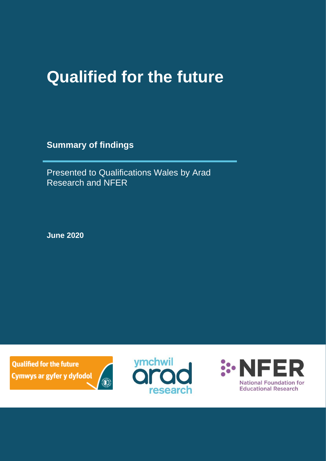# **Qualified for the future**

**Summary of findings**

Presented to Qualifications Wales by Arad Research and NFER

**June 2020**

**Qualified for the future** Cymwys ar gyfer y dyfodol





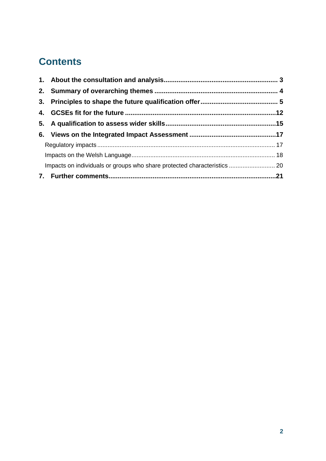#### **Contents**

|  | Impacts on individuals or groups who share protected characteristics  20 |  |
|--|--------------------------------------------------------------------------|--|
|  |                                                                          |  |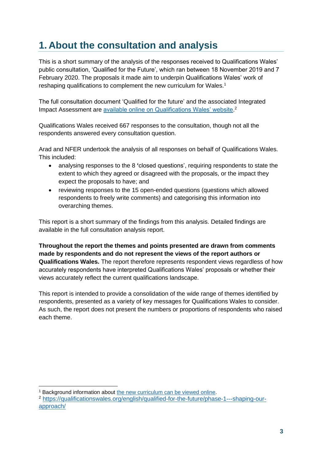#### <span id="page-2-0"></span>**1. About the consultation and analysis**

This is a short summary of the analysis of the responses received to Qualifications Wales' public consultation, 'Qualified for the Future', which ran between 18 November 2019 and 7 February 2020. The proposals it made aim to underpin Qualifications Wales' work of reshaping qualifications to complement the new curriculum for Wales.<sup>1</sup>

The full consultation document 'Qualified for the future' and the associated Integrated Impact Assessment are [available online on Qualifications Wales' website.](https://www.qualificationswales.org/english/qualified-for-the-future/)<sup>2</sup>

Qualifications Wales received 667 responses to the consultation, though not all the respondents answered every consultation question.

Arad and NFER undertook the analysis of all responses on behalf of Qualifications Wales. This included:

- analysing responses to the 8 **'**closed questions', requiring respondents to state the extent to which they agreed or disagreed with the proposals, or the impact they expect the proposals to have; and
- reviewing responses to the 15 open-ended questions (questions which allowed respondents to freely write comments) and categorising this information into overarching themes.

This report is a short summary of the findings from this analysis. Detailed findings are available in the full consultation analysis report.

**Throughout the report the themes and points presented are drawn from comments made by respondents and do not represent the views of the report authors or Qualifications Wales.** The report therefore represents respondent views regardless of how accurately respondents have interpreted Qualifications Wales' proposals or whether their views accurately reflect the current qualifications landscape.

This report is intended to provide a consolidation of the wide range of themes identified by respondents, presented as a variety of key messages for Qualifications Wales to consider. As such, the report does not present the numbers or proportions of respondents who raised each theme.

<sup>1</sup> Background information about [the new curriculum can be viewed online.](https://hwb.gov.wales/curriculum-for-wales)

<sup>2</sup> [https://qualificationswales.org/english/qualified-for-the-future/phase-1---shaping-our](https://qualificationswales.org/english/qualified-for-the-future/phase-1---shaping-our-approach/)[approach/](https://qualificationswales.org/english/qualified-for-the-future/phase-1---shaping-our-approach/)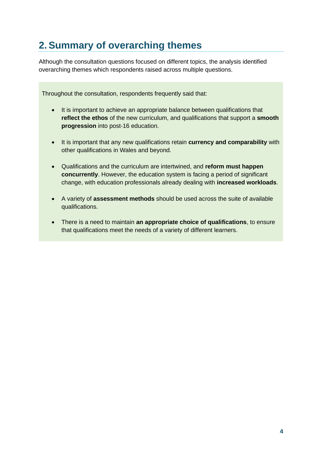### <span id="page-3-0"></span>**2.Summary of overarching themes**

Although the consultation questions focused on different topics, the analysis identified overarching themes which respondents raised across multiple questions.

Throughout the consultation, respondents frequently said that:

- It is important to achieve an appropriate balance between qualifications that **reflect the ethos** of the new curriculum, and qualifications that support a **smooth progression** into post-16 education.
- It is important that any new qualifications retain **currency and comparability** with other qualifications in Wales and beyond.
- Qualifications and the curriculum are intertwined, and **reform must happen concurrently**. However, the education system is facing a period of significant change, with education professionals already dealing with **increased workloads**.
- A variety of **assessment methods** should be used across the suite of available qualifications.
- There is a need to maintain **an appropriate choice of qualifications**, to ensure that qualifications meet the needs of a variety of different learners.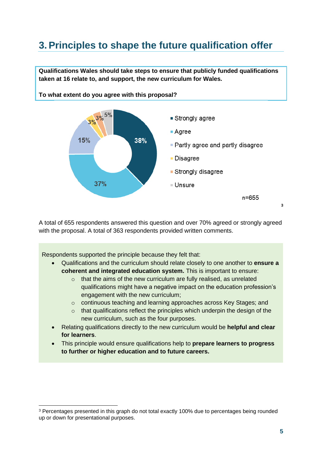### <span id="page-4-0"></span>**3.Principles to shape the future qualification offer**

**Qualifications Wales should take steps to ensure that publicly funded qualifications taken at 16 relate to, and support, the new curriculum for Wales.** 



**To what extent do you agree with this proposal?**

A total of 655 respondents answered this question and over 70% agreed or strongly agreed with the proposal. A total of 363 respondents provided written comments.

Respondents supported the principle because they felt that:

- Qualifications and the curriculum should relate closely to one another to **ensure a coherent and integrated education system.** This is important to ensure:
	- $\circ$  that the aims of the new curriculum are fully realised, as unrelated qualifications might have a negative impact on the education profession's engagement with the new curriculum;
	- o continuous teaching and learning approaches across Key Stages; and
	- $\circ$  that qualifications reflect the principles which underpin the design of the new curriculum, such as the four purposes.
- Relating qualifications directly to the new curriculum would be **helpful and clear for learners**.
- This principle would ensure qualifications help to **prepare learners to progress to further or higher education and to future careers.**

<sup>&</sup>lt;sup>3</sup> Percentages presented in this graph do not total exactly 100% due to percentages being rounded up or down for presentational purposes.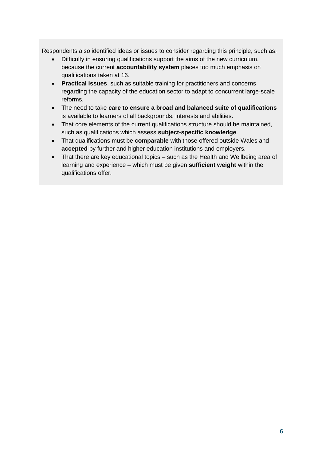Respondents also identified ideas or issues to consider regarding this principle, such as:

- Difficulty in ensuring qualifications support the aims of the new curriculum, because the current **accountability system** places too much emphasis on qualifications taken at 16.
- **Practical issues**, such as suitable training for practitioners and concerns regarding the capacity of the education sector to adapt to concurrent large-scale reforms.
- The need to take **care to ensure a broad and balanced suite of qualifications**  is available to learners of all backgrounds, interests and abilities.
- That core elements of the current qualifications structure should be maintained, such as qualifications which assess **subject-specific knowledge**.
- That qualifications must be **comparable** with those offered outside Wales and **accepted** by further and higher education institutions and employers.
- That there are key educational topics such as the Health and Wellbeing area of learning and experience – which must be given **sufficient weight** within the qualifications offer.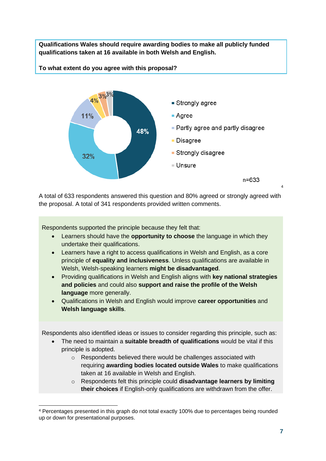**Qualifications Wales should require awarding bodies to make all publicly funded qualifications taken at 16 available in both Welsh and English.** 

**To what extent do you agree with this proposal?**



A total of 633 respondents answered this question and 80% agreed or strongly agreed with the proposal. A total of 341 respondents provided written comments.

Respondents supported the principle because they felt that:

- Learners should have the **opportunity to choose** the language in which they undertake their qualifications.
- Learners have a right to access qualifications in Welsh and English, as a core principle of **equality and inclusiveness**. Unless qualifications are available in Welsh, Welsh-speaking learners **might be disadvantaged**.
- Providing qualifications in Welsh and English aligns with **key national strategies and policies** and could also **support and raise the profile of the Welsh language** more generally.
- Qualifications in Welsh and English would improve **career opportunities** and **Welsh language skills**.

Respondents also identified ideas or issues to consider regarding this principle, such as:

- The need to maintain a **suitable breadth of qualifications** would be vital if this principle is adopted.
	- o Respondents believed there would be challenges associated with requiring **awarding bodies located outside Wales** to make qualifications taken at 16 available in Welsh and English.
	- o Respondents felt this principle could **disadvantage learners by limiting their choices** if English-only qualifications are withdrawn from the offer.

4

<sup>4</sup> Percentages presented in this graph do not total exactly 100% due to percentages being rounded up or down for presentational purposes.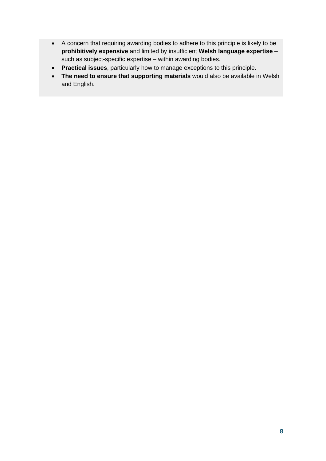- A concern that requiring awarding bodies to adhere to this principle is likely to be **prohibitively expensive** and limited by insufficient **Welsh language expertise** – such as subject-specific expertise – within awarding bodies.
- **Practical issues**, particularly how to manage exceptions to this principle.
- **The need to ensure that supporting materials** would also be available in Welsh and English.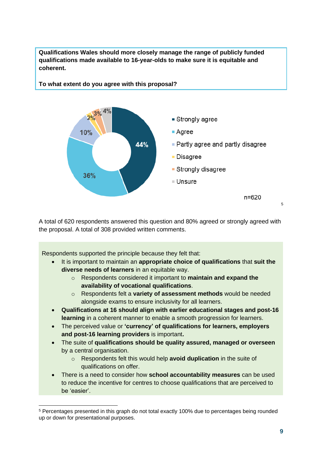

**Qualifications Wales should more closely manage the range of publicly funded qualifications made available to 16-year-olds to make sure it is equitable and coherent.** 

**To what extent do you agree with this proposal?** 

A total of 620 respondents answered this question and 80% agreed or strongly agreed with the proposal. A total of 308 provided written comments.

Respondents supported the principle because they felt that:

- It is important to maintain an **appropriate choice of qualifications** that **suit the diverse needs of learners** in an equitable way.
	- o Respondents considered it important to **maintain and expand the availability of vocational qualifications**.
	- o Respondents felt a **variety of assessment methods** would be needed alongside exams to ensure inclusivity for all learners.
- **Qualifications at 16 should align with earlier educational stages and post-16 learning** in a coherent manner to enable a smooth progression for learners.
- The perceived value or **'currency' of qualifications for learners, employers and post-16 learning providers** is important**.**
- The suite of **qualifications should be quality assured, managed or overseen**  by a central organisation.
	- o Respondents felt this would help **avoid duplication** in the suite of qualifications on offer.
- There is a need to consider how **school accountability measures** can be used to reduce the incentive for centres to choose qualifications that are perceived to be 'easier'.

<sup>5</sup> Percentages presented in this graph do not total exactly 100% due to percentages being rounded up or down for presentational purposes.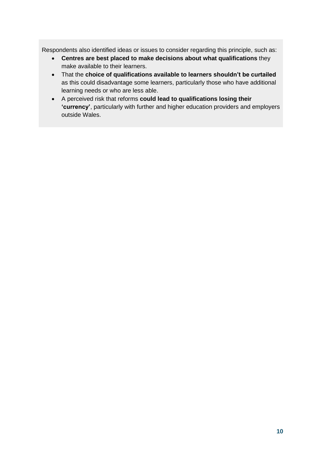Respondents also identified ideas or issues to consider regarding this principle, such as:

- **Centres are best placed to make decisions about what qualifications** they make available to their learners.
- That the **choice of qualifications available to learners shouldn't be curtailed**  as this could disadvantage some learners, particularly those who have additional learning needs or who are less able.
- A perceived risk that reforms **could lead to qualifications losing their 'currency'**, particularly with further and higher education providers and employers outside Wales.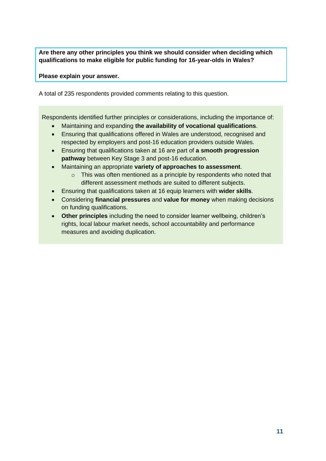**Are there any other principles you think we should consider when deciding which qualifications to make eligible for public funding for 16-year-olds in Wales?** 

**Please explain your answer.**

A total of 235 respondents provided comments relating to this question.

Respondents identified further principles or considerations, including the importance of:

- Maintaining and expanding **the availability of vocational qualifications**.
- Ensuring that qualifications offered in Wales are understood, recognised and respected by employers and post-16 education providers outside Wales.
- Ensuring that qualifications taken at 16 are part of **a smooth progression pathway** between Key Stage 3 and post-16 education.
- Maintaining an appropriate **variety of approaches to assessment**.
	- o This was often mentioned as a principle by respondents who noted that different assessment methods are suited to different subjects.
- Ensuring that qualifications taken at 16 equip learners with **wider skills**.
- Considering **financial pressures** and **value for money** when making decisions on funding qualifications.
- **Other principles** including the need to consider learner wellbeing, children's rights, local labour market needs, school accountability and performance measures and avoiding duplication.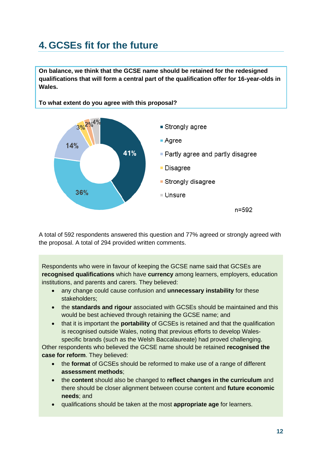### <span id="page-11-0"></span>**4. GCSEs fit for the future**

**On balance, we think that the GCSE name should be retained for the redesigned qualifications that will form a central part of the qualification offer for 16-year-olds in Wales.** 



A total of 592 respondents answered this question and 77% agreed or strongly agreed with the proposal. A total of 294 provided written comments.

Respondents who were in favour of keeping the GCSE name said that GCSEs are **recognised qualifications** which have **currency** among learners, employers, education institutions, and parents and carers. They believed:

- any change could cause confusion and **unnecessary instability** for these stakeholders;
- the **standards and rigour** associated with GCSEs should be maintained and this would be best achieved through retaining the GCSE name; and
- that it is important the **portability** of GCSEs is retained and that the qualification is recognised outside Wales, noting that previous efforts to develop Walesspecific brands (such as the Welsh Baccalaureate) had proved challenging.

Other respondents who believed the GCSE name should be retained **recognised the case for reform**. They believed:

- the **format** of GCSEs should be reformed to make use of a range of different **assessment methods**;
- the **content** should also be changed to **reflect changes in the curriculum** and there should be closer alignment between course content and **future economic needs**; and
- qualifications should be taken at the most **appropriate age** for learners.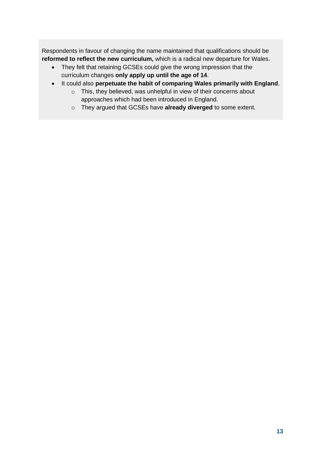Respondents in favour of changing the name maintained that qualifications should be **reformed to reflect the new curriculum,** which is a radical new departure for Wales.

- They felt that retaining GCSEs could give the wrong impression that the curriculum changes **only apply up until the age of 14**.
- It could also **perpetuate the habit of comparing Wales primarily with England**.
	- o This, they believed, was unhelpful in view of their concerns about approaches which had been introduced in England.
	- o They argued that GCSEs have **already diverged** to some extent.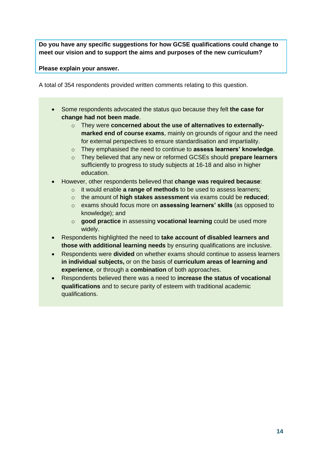**Do you have any specific suggestions for how GCSE qualifications could change to meet our vision and to support the aims and purposes of the new curriculum?** 

**Please explain your answer.**

A total of 354 respondents provided written comments relating to this question.

- Some respondents advocated the status quo because they felt **the case for change had not been made**.
	- o They were **concerned about the use of alternatives to externallymarked end of course exams**, mainly on grounds of rigour and the need for external perspectives to ensure standardisation and impartiality.
	- o They emphasised the need to continue to **assess learners' knowledge**.
	- o They believed that any new or reformed GCSEs should **prepare learners** sufficiently to progress to study subjects at 16-18 and also in higher education.
- However, other respondents believed that **change was required because**:
	- o it would enable **a range of methods** to be used to assess learners;
	- o the amount of **high stakes assessment** via exams could be **reduced**;
	- o exams should focus more on **assessing learners' skills** (as opposed to knowledge); and
	- o **good practice** in assessing **vocational learning** could be used more widely.
- Respondents highlighted the need to **take account of disabled learners and those with additional learning needs** by ensuring qualifications are inclusive.
- Respondents were **divided** on whether exams should continue to assess learners **in individual subjects,** or on the basis of **curriculum areas of learning and experience**, or through a **combination** of both approaches.
- Respondents believed there was a need to **increase the status of vocational qualifications** and to secure parity of esteem with traditional academic qualifications.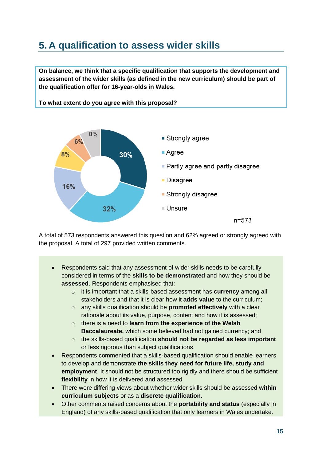#### <span id="page-14-0"></span>**5. A qualification to assess wider skills**

**On balance, we think that a specific qualification that supports the development and assessment of the wider skills (as defined in the new curriculum) should be part of the qualification offer for 16-year-olds in Wales.**



**To what extent do you agree with this proposal?**

A total of 573 respondents answered this question and 62% agreed or strongly agreed with the proposal. A total of 297 provided written comments.

- Respondents said that any assessment of wider skills needs to be carefully considered in terms of the **skills to be demonstrated** and how they should be **assessed**. Respondents emphasised that:
	- o it is important that a skills-based assessment has **currency** among all stakeholders and that it is clear how it **adds value** to the curriculum;
	- o any skills qualification should be **promoted effectively** with a clear rationale about its value, purpose, content and how it is assessed;
	- o there is a need to **learn from the experience of the Welsh Baccalaureate,** which some believed had not gained currency; and
	- o the skills-based qualification **should not be regarded as less important** or less rigorous than subject qualifications.
- Respondents commented that a skills-based qualification should enable learners to develop and demonstrate **the skills they need for future life, study and employment**. It should not be structured too rigidly and there should be sufficient **flexibility** in how it is delivered and assessed.
- There were differing views about whether wider skills should be assessed **within curriculum subjects** or as a **discrete qualification**.
- Other comments raised concerns about the **portability and status** (especially in England) of any skills-based qualification that only learners in Wales undertake.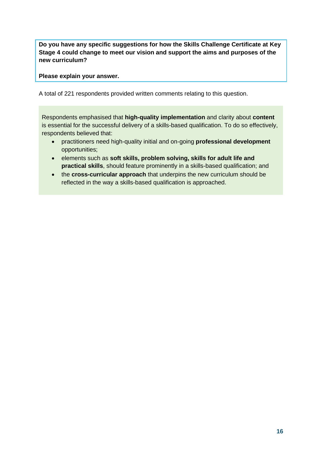**Do you have any specific suggestions for how the Skills Challenge Certificate at Key Stage 4 could change to meet our vision and support the aims and purposes of the new curriculum?** 

**Please explain your answer.**

A total of 221 respondents provided written comments relating to this question.

Respondents emphasised that **high-quality implementation** and clarity about **content** is essential for the successful delivery of a skills-based qualification. To do so effectively, respondents believed that:

- practitioners need high-quality initial and on-going **professional development** opportunities;
- elements such as **soft skills, problem solving, skills for adult life and practical skills**, should feature prominently in a skills-based qualification; and
- the **cross-curricular approach** that underpins the new curriculum should be reflected in the way a skills-based qualification is approached.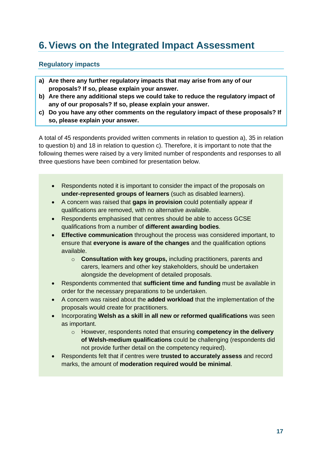### <span id="page-16-0"></span>**6.Views on the Integrated Impact Assessment**

#### <span id="page-16-1"></span>**Regulatory impacts**

- **a) Are there any further regulatory impacts that may arise from any of our proposals? If so, please explain your answer.**
- **b) Are there any additional steps we could take to reduce the regulatory impact of any of our proposals? If so, please explain your answer.**
- **c) Do you have any other comments on the regulatory impact of these proposals? If so, please explain your answer.**

A total of 45 respondents provided written comments in relation to question a), 35 in relation to question b) and 18 in relation to question c). Therefore, it is important to note that the following themes were raised by a very limited number of respondents and responses to all three questions have been combined for presentation below.

- Respondents noted it is important to consider the impact of the proposals on **under-represented groups of learners** (such as disabled learners).
- A concern was raised that **gaps in provision** could potentially appear if qualifications are removed, with no alternative available.
- Respondents emphasised that centres should be able to access GCSE qualifications from a number of **different awarding bodies**.
- **Effective communication** throughout the process was considered important, to ensure that **everyone is aware of the changes** and the qualification options available.
	- o **Consultation with key groups,** including practitioners, parents and carers, learners and other key stakeholders, should be undertaken alongside the development of detailed proposals.
- Respondents commented that **sufficient time and funding** must be available in order for the necessary preparations to be undertaken.
- A concern was raised about the **added workload** that the implementation of the proposals would create for practitioners.
- Incorporating **Welsh as a skill in all new or reformed qualifications** was seen as important.
	- o However, respondents noted that ensuring **competency in the delivery of Welsh-medium qualifications** could be challenging (respondents did not provide further detail on the competency required).
- Respondents felt that if centres were **trusted to accurately assess** and record marks, the amount of **moderation required would be minimal**.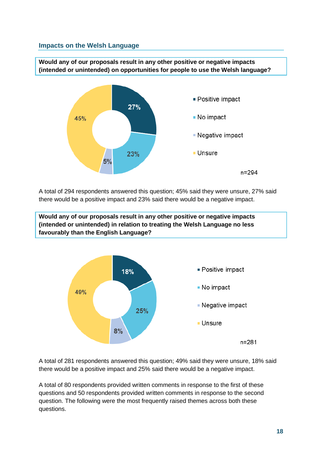#### <span id="page-17-0"></span>**Impacts on the Welsh Language**

**Would any of our proposals result in any other positive or negative impacts (intended or unintended) on opportunities for people to use the Welsh language?**



A total of 294 respondents answered this question; 45% said they were unsure, 27% said there would be a positive impact and 23% said there would be a negative impact.

**Would any of our proposals result in any other positive or negative impacts (intended or unintended) in relation to treating the Welsh Language no less favourably than the English Language?**



A total of 281 respondents answered this question; 49% said they were unsure, 18% said there would be a positive impact and 25% said there would be a negative impact.

A total of 80 respondents provided written comments in response to the first of these questions and 50 respondents provided written comments in response to the second question. The following were the most frequently raised themes across both these questions.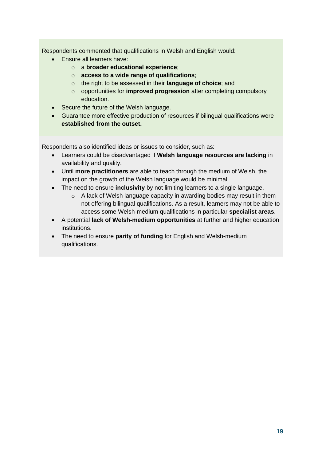Respondents commented that qualifications in Welsh and English would:

- Ensure all learners have:
	- o a **broader educational experience**;
	- o **access to a wide range of qualifications**;
	- o the right to be assessed in their **language of choice**; and
	- o opportunities for **improved progression** after completing compulsory education.
- Secure the future of the Welsh language.
- Guarantee more effective production of resources if bilingual qualifications were **established from the outset.**

Respondents also identified ideas or issues to consider, such as:

- Learners could be disadvantaged if **Welsh language resources are lacking** in availability and quality.
- Until **more practitioners** are able to teach through the medium of Welsh, the impact on the growth of the Welsh language would be minimal.
- The need to ensure **inclusivity** by not limiting learners to a single language.
	- o A lack of Welsh language capacity in awarding bodies may result in them not offering bilingual qualifications. As a result, learners may not be able to access some Welsh-medium qualifications in particular **specialist areas**.
- A potential **lack of Welsh-medium opportunities** at further and higher education institutions.
- The need to ensure **parity of funding** for English and Welsh-medium qualifications.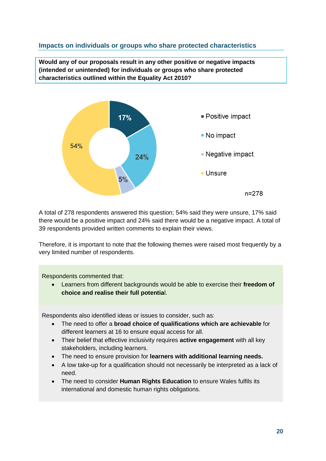#### <span id="page-19-0"></span>**Impacts on individuals or groups who share protected characteristics**

**Would any of our proposals result in any other positive or negative impacts (intended or unintended) for individuals or groups who share protected characteristics outlined within the Equality Act 2010?**



A total of 278 respondents answered this question; 54% said they were unsure, 17% said there would be a positive impact and 24% said there would be a negative impact. A total of 39 respondents provided written comments to explain their views.

Therefore, it is important to note that the following themes were raised most frequently by a very limited number of respondents.

Respondents commented that:

• Learners from different backgrounds would be able to exercise their **freedom of choice and realise their full potentia**l.

Respondents also identified ideas or issues to consider, such as:

- The need to offer a **broad choice of qualifications which are achievable** for different learners at 16 to ensure equal access for all.
- Their belief that effective inclusivity requires **active engagement** with all key stakeholders, including learners.
- The need to ensure provision for **learners with additional learning needs.**
- A low take-up for a qualification should not necessarily be interpreted as a lack of need.
- The need to consider **Human Rights Education** to ensure Wales fulfils its international and domestic human rights obligations.